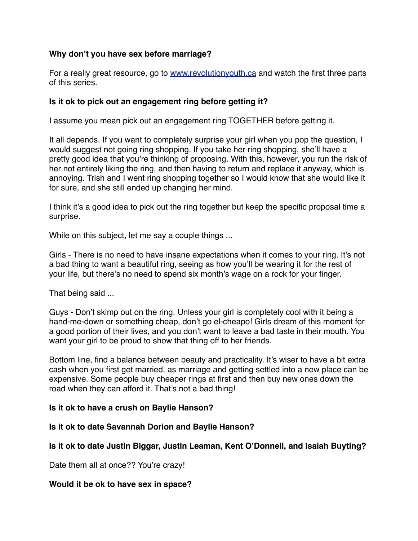# **Why don't you have sex before marriage?**

For a really great resource, go to [www.revolutionyouth.ca](http://www.revolutionyouth.ca) and watch the first three parts of this series.

### **Is it ok to pick out an engagement ring before getting it?**

I assume you mean pick out an engagement ring TOGETHER before getting it.

It all depends. If you want to completely surprise your girl when you pop the question, I would suggest not going ring shopping. If you take her ring shopping, she'll have a pretty good idea that you're thinking of proposing. With this, however, you run the risk of her not entirely liking the ring, and then having to return and replace it anyway, which is annoying. Trish and I went ring shopping together so I would know that she would like it for sure, and she still ended up changing her mind.

I think it's a good idea to pick out the ring together but keep the specific proposal time a surprise.

While on this subject, let me say a couple things ...

Girls - There is no need to have insane expectations when it comes to your ring. It's not a bad thing to want a beautiful ring, seeing as how you'll be wearing it for the rest of your life, but there's no need to spend six month's wage on a rock for your finger.

That being said ...

Guys - Don't skimp out on the ring. Unless your girl is completely cool with it being a hand-me-down or something cheap, don't go el-cheapo! Girls dream of this moment for a good portion of their lives, and you don't want to leave a bad taste in their mouth. You want your girl to be proud to show that thing off to her friends.

Bottom line, find a balance between beauty and practicality. It's wiser to have a bit extra cash when you first get married, as marriage and getting settled into a new place can be expensive. Some people buy cheaper rings at first and then buy new ones down the road when they can afford it. That's not a bad thing!

### **Is it ok to have a crush on Baylie Hanson?**

**Is it ok to date Savannah Dorion and Baylie Hanson?**

# **Is it ok to date Justin Biggar, Justin Leaman, Kent O'Donnell, and Isaiah Buyting?**

Date them all at once?? You're crazy!

### **Would it be ok to have sex in space?**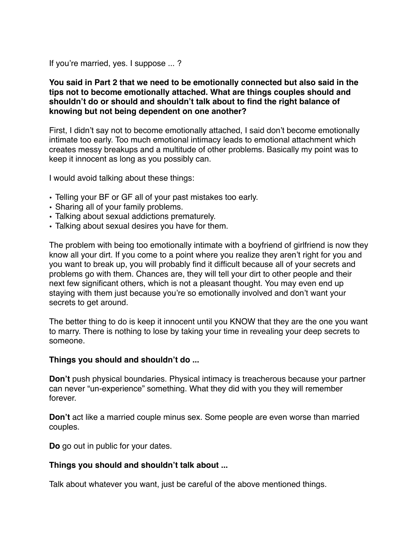If you're married, yes. I suppose ... ?

**You said in Part 2 that we need to be emotionally connected but also said in the tips not to become emotionally attached. What are things couples should and shouldn't do or should and shouldn't talk about to find the right balance of knowing but not being dependent on one another?**

First, I didn't say not to become emotionally attached, I said don't become emotionally intimate too early. Too much emotional intimacy leads to emotional attachment which creates messy breakups and a multitude of other problems. Basically my point was to keep it innocent as long as you possibly can.

I would avoid talking about these things:

- Telling your BF or GF all of your past mistakes too early.
- Sharing all of your family problems.
- Talking about sexual addictions prematurely.
- Talking about sexual desires you have for them.

The problem with being too emotionally intimate with a boyfriend of girlfriend is now they know all your dirt. If you come to a point where you realize they aren't right for you and you want to break up, you will probably find it difficult because all of your secrets and problems go with them. Chances are, they will tell your dirt to other people and their next few significant others, which is not a pleasant thought. You may even end up staying with them just because you're so emotionally involved and don't want your secrets to get around.

The better thing to do is keep it innocent until you KNOW that they are the one you want to marry. There is nothing to lose by taking your time in revealing your deep secrets to someone.

#### **Things you should and shouldn't do ...**

**Don't** push physical boundaries. Physical intimacy is treacherous because your partner can never "un-experience" something. What they did with you they will remember forever.

**Don't** act like a married couple minus sex. Some people are even worse than married couples.

**Do** go out in public for your dates.

### **Things you should and shouldn't talk about ...**

Talk about whatever you want, just be careful of the above mentioned things.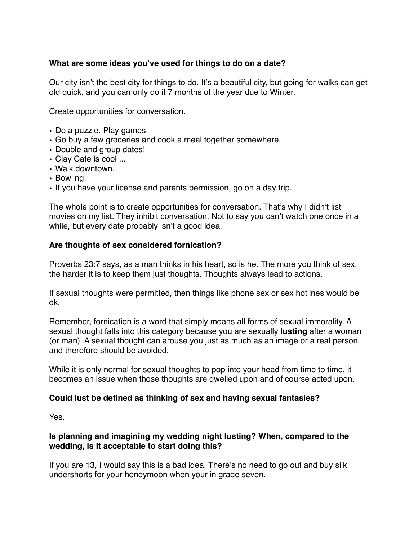# **What are some ideas you've used for things to do on a date?**

Our city isn't the best city for things to do. It's a beautiful city, but going for walks can get old quick, and you can only do it 7 months of the year due to Winter.

Create opportunities for conversation.

- Do a puzzle. Play games.
- Go buy a few groceries and cook a meal together somewhere.
- Double and group dates!
- Clay Cafe is cool ...
- Walk downtown.
- Bowling.
- If you have your license and parents permission, go on a day trip.

The whole point is to create opportunities for conversation. That's why I didn't list movies on my list. They inhibit conversation. Not to say you can't watch one once in a while, but every date probably isn't a good idea.

# **Are thoughts of sex considered fornication?**

Proverbs 23:7 says, as a man thinks in his heart, so is he. The more you think of sex, the harder it is to keep them just thoughts. Thoughts always lead to actions.

If sexual thoughts were permitted, then things like phone sex or sex hotlines would be ok.

Remember, fornication is a word that simply means all forms of sexual immorality. A sexual thought falls into this category because you are sexually **lusting** after a woman (or man). A sexual thought can arouse you just as much as an image or a real person, and therefore should be avoided.

While it is only normal for sexual thoughts to pop into your head from time to time, it becomes an issue when those thoughts are dwelled upon and of course acted upon.

### **Could lust be defined as thinking of sex and having sexual fantasies?**

Yes.

# **Is planning and imagining my wedding night lusting? When, compared to the wedding, is it acceptable to start doing this?**

If you are 13, I would say this is a bad idea. There's no need to go out and buy silk undershorts for your honeymoon when your in grade seven.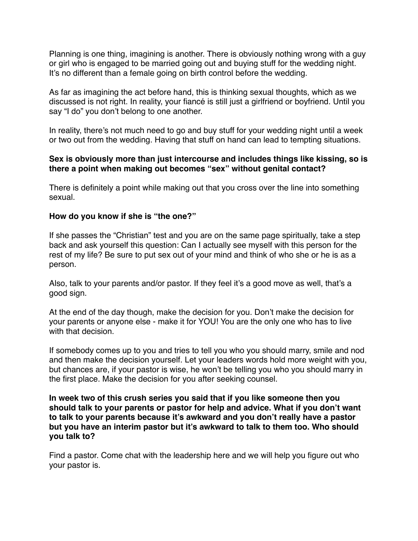Planning is one thing, imagining is another. There is obviously nothing wrong with a guy or girl who is engaged to be married going out and buying stuff for the wedding night. It's no different than a female going on birth control before the wedding.

As far as imagining the act before hand, this is thinking sexual thoughts, which as we discussed is not right. In reality, your fiancé is still just a girlfriend or boyfriend. Until you say "I do" you don't belong to one another.

In reality, there's not much need to go and buy stuff for your wedding night until a week or two out from the wedding. Having that stuff on hand can lead to tempting situations.

### **Sex is obviously more than just intercourse and includes things like kissing, so is there a point when making out becomes "sex" without genital contact?**

There is definitely a point while making out that you cross over the line into something sexual.

### **How do you know if she is "the one?"**

If she passes the "Christian" test and you are on the same page spiritually, take a step back and ask yourself this question: Can I actually see myself with this person for the rest of my life? Be sure to put sex out of your mind and think of who she or he is as a person.

Also, talk to your parents and/or pastor. If they feel it's a good move as well, that's a good sign.

At the end of the day though, make the decision for you. Don't make the decision for your parents or anyone else - make it for YOU! You are the only one who has to live with that decision.

If somebody comes up to you and tries to tell you who you should marry, smile and nod and then make the decision yourself. Let your leaders words hold more weight with you, but chances are, if your pastor is wise, he won't be telling you who you should marry in the first place. Make the decision for you after seeking counsel.

**In week two of this crush series you said that if you like someone then you should talk to your parents or pastor for help and advice. What if you don't want to talk to your parents because it's awkward and you don't really have a pastor but you have an interim pastor but it's awkward to talk to them too. Who should you talk to?**

Find a pastor. Come chat with the leadership here and we will help you figure out who your pastor is.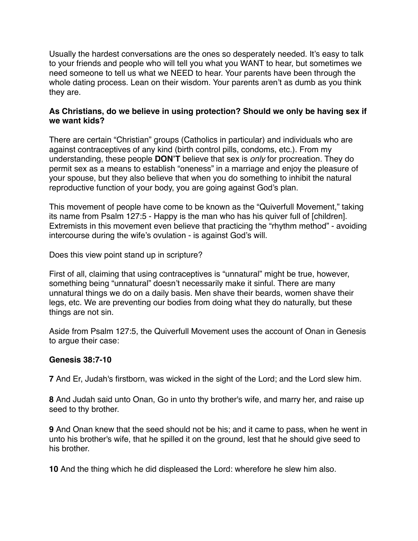Usually the hardest conversations are the ones so desperately needed. It's easy to talk to your friends and people who will tell you what you WANT to hear, but sometimes we need someone to tell us what we NEED to hear. Your parents have been through the whole dating process. Lean on their wisdom. Your parents aren't as dumb as you think they are.

### **As Christians, do we believe in using protection? Should we only be having sex if we want kids?**

There are certain "Christian" groups (Catholics in particular) and individuals who are against contraceptives of any kind (birth control pills, condoms, etc.). From my understanding, these people **DON'T** believe that sex is *only* for procreation. They do permit sex as a means to establish "oneness" in a marriage and enjoy the pleasure of your spouse, but they also believe that when you do something to inhibit the natural reproductive function of your body, you are going against God's plan.

This movement of people have come to be known as the "Quiverfull Movement," taking its name from Psalm 127:5 - Happy is the man who has his quiver full of [children]. Extremists in this movement even believe that practicing the "rhythm method" - avoiding intercourse during the wife's ovulation - is against God's will.

Does this view point stand up in scripture?

First of all, claiming that using contraceptives is "unnatural" might be true, however, something being "unnatural" doesn't necessarily make it sinful. There are many unnatural things we do on a daily basis. Men shave their beards, women shave their legs, etc. We are preventing our bodies from doing what they do naturally, but these things are not sin.

Aside from Psalm 127:5, the Quiverfull Movement uses the account of Onan in Genesis to argue their case:

# **Genesis 38:7-10**

**7** And Er, Judah's firstborn, was wicked in the sight of the Lord; and the Lord slew him.

**8** And Judah said unto Onan, Go in unto thy brother's wife, and marry her, and raise up seed to thy brother.

**9** And Onan knew that the seed should not be his; and it came to pass, when he went in unto his brother's wife, that he spilled it on the ground, lest that he should give seed to his brother.

**10** And the thing which he did displeased the Lord: wherefore he slew him also.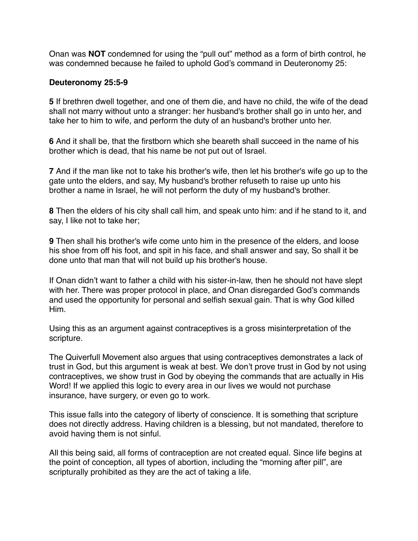Onan was **NOT** condemned for using the "pull out" method as a form of birth control, he was condemned because he failed to uphold God's command in Deuteronomy 25:

#### **Deuteronomy 25:5-9**

**5** If brethren dwell together, and one of them die, and have no child, the wife of the dead shall not marry without unto a stranger: her husband's brother shall go in unto her, and take her to him to wife, and perform the duty of an husband's brother unto her.

**6** And it shall be, that the firstborn which she beareth shall succeed in the name of his brother which is dead, that his name be not put out of Israel.

**7** And if the man like not to take his brother's wife, then let his brother's wife go up to the gate unto the elders, and say, My husband's brother refuseth to raise up unto his brother a name in Israel, he will not perform the duty of my husband's brother.

**8** Then the elders of his city shall call him, and speak unto him: and if he stand to it, and say, I like not to take her;

**9** Then shall his brother's wife come unto him in the presence of the elders, and loose his shoe from off his foot, and spit in his face, and shall answer and say, So shall it be done unto that man that will not build up his brother's house.

If Onan didn't want to father a child with his sister-in-law, then he should not have slept with her. There was proper protocol in place, and Onan disregarded God's commands and used the opportunity for personal and selfish sexual gain. That is why God killed Him.

Using this as an argument against contraceptives is a gross misinterpretation of the scripture.

The Quiverfull Movement also argues that using contraceptives demonstrates a lack of trust in God, but this argument is weak at best. We don't prove trust in God by not using contraceptives, we show trust in God by obeying the commands that are actually in His Word! If we applied this logic to every area in our lives we would not purchase insurance, have surgery, or even go to work.

This issue falls into the category of liberty of conscience. It is something that scripture does not directly address. Having children is a blessing, but not mandated, therefore to avoid having them is not sinful.

All this being said, all forms of contraception are not created equal. Since life begins at the point of conception, all types of abortion, including the "morning after pill", are scripturally prohibited as they are the act of taking a life.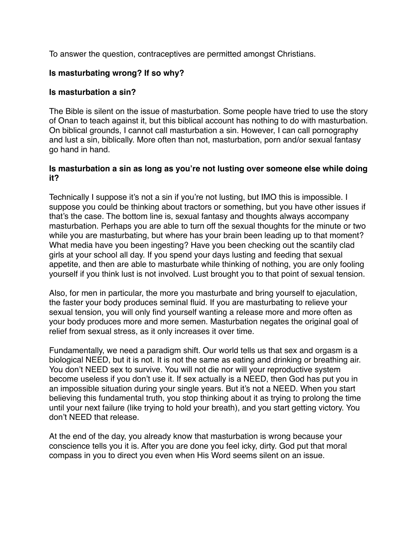To answer the question, contraceptives are permitted amongst Christians.

# **Is masturbating wrong? If so why?**

# **Is masturbation a sin?**

The Bible is silent on the issue of masturbation. Some people have tried to use the story of Onan to teach against it, but this biblical account has nothing to do with masturbation. On biblical grounds, I cannot call masturbation a sin. However, I can call pornography and lust a sin, biblically. More often than not, masturbation, porn and/or sexual fantasy go hand in hand.

### **Is masturbation a sin as long as you're not lusting over someone else while doing it?**

Technically I suppose it's not a sin if you're not lusting, but IMO this is impossible. I suppose you could be thinking about tractors or something, but you have other issues if that's the case. The bottom line is, sexual fantasy and thoughts always accompany masturbation. Perhaps you are able to turn off the sexual thoughts for the minute or two while you are masturbating, but where has your brain been leading up to that moment? What media have you been ingesting? Have you been checking out the scantily clad girls at your school all day. If you spend your days lusting and feeding that sexual appetite, and then are able to masturbate while thinking of nothing, you are only fooling yourself if you think lust is not involved. Lust brought you to that point of sexual tension.

Also, for men in particular, the more you masturbate and bring yourself to ejaculation, the faster your body produces seminal fluid. If you are masturbating to relieve your sexual tension, you will only find yourself wanting a release more and more often as your body produces more and more semen. Masturbation negates the original goal of relief from sexual stress, as it only increases it over time.

Fundamentally, we need a paradigm shift. Our world tells us that sex and orgasm is a biological NEED, but it is not. It is not the same as eating and drinking or breathing air. You don't NEED sex to survive. You will not die nor will your reproductive system become useless if you don't use it. If sex actually is a NEED, then God has put you in an impossible situation during your single years. But it's not a NEED. When you start believing this fundamental truth, you stop thinking about it as trying to prolong the time until your next failure (like trying to hold your breath), and you start getting victory. You don't NEED that release.

At the end of the day, you already know that masturbation is wrong because your conscience tells you it is. After you are done you feel icky, dirty. God put that moral compass in you to direct you even when His Word seems silent on an issue.